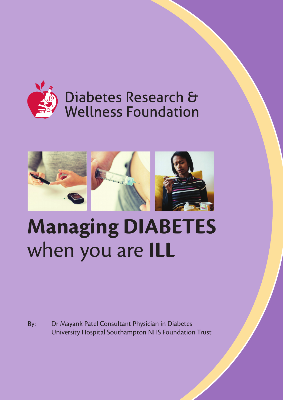

## Diabetes Research & **Wellness Foundation**



# **Managing DIABETES** when you are **ILL**

By: Dr Mayank Patel Consultant Physician in Diabetes University Hospital Southampton NHS Foundation Trust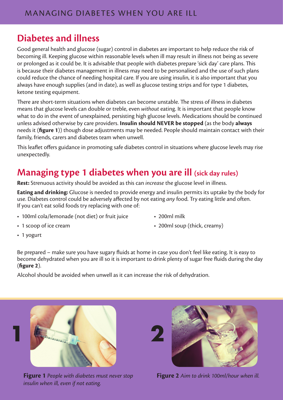### **Diabetes and illness**

Good general health and glucose (sugar) control in diabetes are important to help reduce the risk of becoming ill. Keeping glucose within reasonable levels when ill may result in illness not being as severe or prolonged as it could be. It is advisable that people with diabetes prepare 'sick day' care plans. This is because their diabetes management in illness may need to be personalised and the use of such plans could reduce the chance of needing hospital care. If you are using insulin, it is also important that you always have enough supplies (and in date), as well as glucose testing strips and for type 1 diabetes, ketone testing equipment.

There are short-term situations when diabetes can become unstable. The stress of illness in diabetes means that glucose levels can double or treble, even *without* eating. It is important that people know what to do in the event of unexplained, persisting high glucose levels. Medications should be continued unless advised otherwise by care providers. **Insulin should NEVER be stopped** (as the body **always** needs it (**figure 1**)) though dose adjustments may be needed. People should maintain contact with their family, friends, carers and diabetes team when unwell.

This leaflet offers guidance in promoting safe diabetes control in situations where glucose levels may rise unexpectedly.

### **Managing type 1 diabetes when you are ill (sick day rules)**

**Rest:** Strenuous activity should be avoided as this can *increase* the glucose level in illness.

**Eating and drinking:** Glucose is needed to provide energy and insulin permits its uptake by the body for use. Diabetes control could be adversely affected by not eating *any* food. Try eating little and often. If you can't eat solid foods try replacing with one of:

- 100ml cola/lemonade (not diet) or fruit juice 200ml milk
- 

- 
- 1 scoop of ice cream 200ml soup (thick, creamy)
- 1 yogurt

Be prepared – make sure you have sugary fluids at home in case you don't feel like eating. It is easy to become dehydrated when you are ill so it is important to drink plenty of sugar free fluids during the day (**figure 2**).

Alcohol should be avoided when unwell as it can increase the risk of dehydration.



**Figure 1** *People with diabetes must never stop insulin when ill, even if not eating.*



**Figure 2** *Aim to drink 100ml/hour when ill.*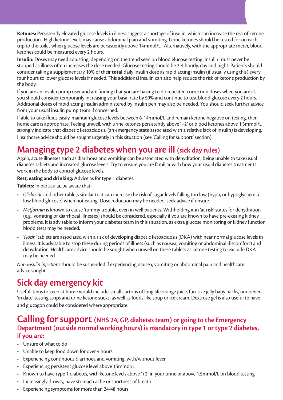**Ketones:** Persistently elevated glucose levels in illness suggest a shortage of insulin, which can increase the risk of ketone production. High ketone levels may cause abdominal pain and vomiting. Urine ketones should be tested for on each trip to the toilet when glucose levels are persistently above 14mmol/L. Alternatively, with the appropriate meter, blood ketones could be measured every 2 hours.

**Insulin:** Doses may need adjusting, depending on the trend seen on blood glucose testing. Insulin must never be stopped as illness often increases the dose needed. Glucose testing should be 2-4 hourly, day and night. Patients should consider taking a supplementary 10% of their **total** daily insulin dose as rapid acting insulin (if usually using this) every four hours to lower glucose levels if needed. This additional insulin can also help reduce the risk of ketone production by the body.

If you are an insulin pump user and are finding that you are having to do repeated correction doses when you are ill, you should consider temporarily increasing your basal rate by 50% and continue to test blood glucose every 2 hours. Additional doses of rapid acting insulin administered by insulin pen may also be needed. You should seek further advice from your usual insulin pump team if concerned.

If able to take fluids easily, maintain glucose levels between 6-14mmol/L and remain ketone negative on testing, then home care is appropriate. Feeling unwell, with urine ketones persistently above '+2' or blood ketones above 1.5mmol/L strongly indicate that diabetic ketoacidosis, (an emergency state associated with a relative lack of insulin) is developing. Healthcare advice should be sought urgently in this situation (see 'Calling for support' section).

#### **Managing type 2 diabetes when you are ill (sick day rules)**

Again, acute illnesses such as diarrhoea and vomiting can be associated with dehydration, being unable to take usual diabetes tablets and increased glucose levels. Try to ensure you are familiar with how your usual diabetes treatments work in the body to control glucose levels.

#### **Rest, eating and drinking:** Advice as for type 1 diabetes.

**Tablets:** In particular, be aware that:

- *Gliclazide* and other tablets similar to it can increase the risk of sugar levels falling too low (hypo, or hypoglycaemia low blood glucose) when not eating. Dose reduction may be needed, seek advice if unsure.
- *Metformin* is known to cause 'tummy trouble', even in well patients. Withholding it in 'at risk' states for dehydration (e.g., vomiting or diarrhoeal illnesses) should be considered, especially if you are known to have pre-existing kidney problems. It is advisable to inform your diabetes team in this situation, as extra glucose monitoring or kidney function blood tests may be needed.
- *'Flozin'* tablets are associated with a risk of developing diabetic ketoacidosis (DKA) with near normal glucose levels in illness. It is advisable to stop these during periods of illness (such as nausea, vomiting or abdominal discomfort) and dehydration. Healthcare advice should be sought when unwell on these tablets as ketone testing to exclude DKA may be needed.

*Non-insulin injections* should be suspended if experiencing nausea, vomiting or abdominal pain and healthcare advice sought.

#### **Sick day emergency kit**

Useful items to keep at home would include: small cartons of long life orange juice, fun-size jelly baby packs, unopened 'in date' testing strips and urine ketone sticks, as well as foods like soup or ice cream. Dextrose gel is also useful to have and glucagon could be considered where appropriate.

#### **Calling for support (NHS 24, GP, diabetes team) or going to the Emergency Department (outside normal working hours) is mandatory in type 1 or type 2 diabetes, if you are:**

- Unsure of what to do
- Unable to keep food down for over 4 hours
- Experiencing continuous diarrhoea and vomiting, with/without fever
- Experiencing persistent glucose level above 15mmol/L
- Known to have type 1 diabetes, with ketone levels above '+2' in your urine or above 1.5mmol/L on blood testing
- Increasingly drowsy, have stomach ache or shortness of breath
- Experiencing symptoms for more than 24-48 hours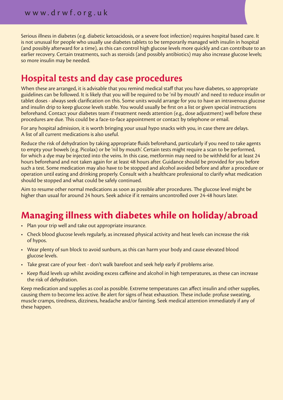Serious illness in diabetes (e.g. diabetic ketoacidosis, or a severe foot infection) requires hospital based care. It is not unusual for people who usually use diabetes tablets to be temporarily managed with insulin in hospital (and possibly afterward for a time), as this can control high glucose levels more quickly and can contribute to an earlier recovery. Certain treatments, such as steroids (and possibly antibiotics) may also increase glucose levels; so more insulin may be needed.

### **Hospital tests and day case procedures**

When these are arranged, it is advisable that you remind medical staff that you have diabetes, so appropriate guidelines can be followed. It is likely that you will be required to be 'nil by mouth' and need to reduce insulin or tablet doses - always seek clarification on this. Some units would arrange for you to have an intravenous glucose and insulin drip to keep glucose levels stable. You would usually be first on a list or given special instructions beforehand. Contact your diabetes team if treatment needs attention (e.g., dose adjustment) well before these procedures are due. This could be a face-to-face appointment or contact by telephone or email.

For any hospital admission, it is worth bringing your usual hypo snacks with you, in case there are delays. A list of all current medications is also useful.

Reduce the risk of dehydration by taking appropriate fluids beforehand, particularly if you need to take agents to empty your bowels (e.g. Picolax) or be 'nil by mouth'. Certain tests might require a scan to be performed, for which a dye may be injected into the veins. In this case, metformin may need to be withheld for at least 24 hours beforehand and not taken again for at least 48 hours after. Guidance should be provided for you before such a test. Some medication may also have to be stopped and alcohol avoided before and after a procedure or operation until eating and drinking properly. Consult with a healthcare professional to clarify what medication should be stopped and what could be safely continued.

Aim to resume other normal medications as soon as possible after procedures. The glucose level might be higher than usual for around 24 hours. Seek advice if it remains uncontrolled over 24-48 hours later.

### **Managing illness with diabetes while on holiday/abroad**

- Plan your trip well and take out appropriate insurance.
- Check blood glucose levels regularly, as increased physical activity and heat levels can increase the risk of hypos.
- Wear plenty of sun block to avoid sunburn, as this can harm your body and cause elevated blood glucose levels.
- Take great care of your feet don't walk barefoot and seek help early if problems arise.
- Keep fluid levels up whilst avoiding excess caffeine and alcohol in high temperatures, as these can increase the risk of dehydration.

Keep medication and supplies as cool as possible. Extreme temperatures can affect insulin and other supplies, causing them to become less active. Be alert for signs of heat exhaustion. These include: profuse sweating, muscle cramps, tiredness, dizziness, headache and/or fainting. Seek medical attention immediately if any of these happen.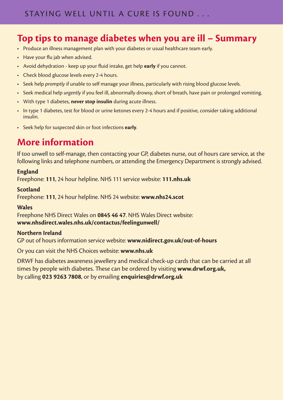### **Top tips to manage diabetes when you are ill – Summary**

- Produce an illness management plan with your diabetes or usual healthcare team early.
- Have your flu jab when advised.
- Avoid dehydration keep up your fluid intake, get help **early** if you cannot.
- Check blood glucose levels every 2-4 hours.
- Seek help *promptly* if unable to self manage your illness, particularly with rising blood glucose levels.
- Seek medical help *urgently* if you feel ill, abnormally drowsy, short of breath, have pain or prolonged vomiting.
- With type 1 diabetes, **never stop insulin** during acute illness.
- In type 1 diabetes, test for blood or urine ketones every 2-4 hours and if positive, consider taking additional insulin.
- Seek help for suspected skin or foot infections **early**.

### **More information**

If too unwell to self-manage, then contacting your GP, diabetes nurse, out of hours care service, at the following links and telephone numbers, or attending the Emergency Department is strongly advised.

#### **England**

Freephone: **111**, 24 hour helpline. NHS 111 service website: **111.nhs.uk**

#### **Scotland**

Freephone: **111**, 24 hour helpline. NHS 24 website: **www.nhs24.scot**

#### **Wales**

Freephone NHS Direct Wales on **0845 46 47**. NHS Wales Direct website: **www.nhsdirect.wales.nhs.uk/contactus/feelingunwell/** 

#### **Northern Ireland**

GP out of hours information service website: **www.nidirect.gov.uk/out-of-hours**

Or you can visit the NHS Choices website: **www.nhs.uk**

DRWF has diabetes awareness jewellery and medical check-up cards that can be carried at all times by people with diabetes. These can be ordered by visiting **www.drwf.org.uk,** by calling **023 9263 7808**, or by emailing **enquiries@drwf.org.uk**